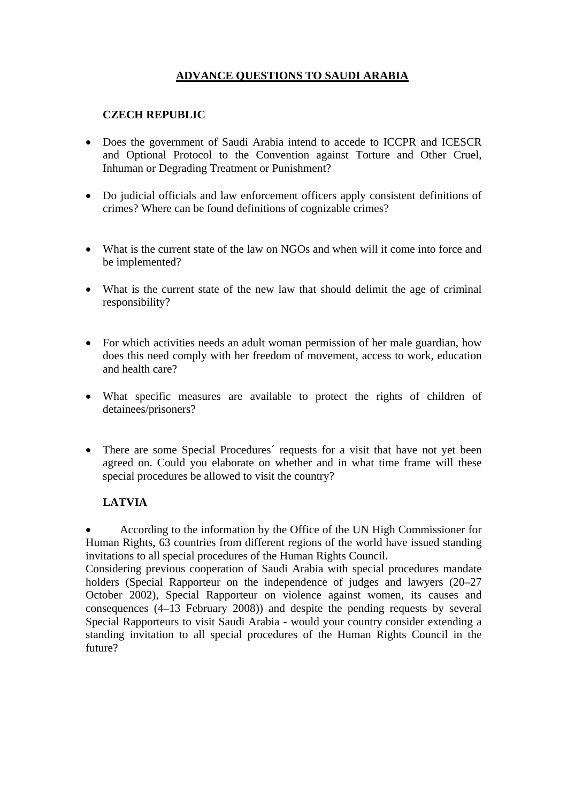# **ADVANCE QUESTIONS TO SAUDI ARABIA**

## **CZECH REPUBLIC**

- Does the government of Saudi Arabia intend to accede to ICCPR and ICESCR and Optional Protocol to the Convention against Torture and Other Cruel, Inhuman or Degrading Treatment or Punishment?
- Do judicial officials and law enforcement officers apply consistent definitions of crimes? Where can be found definitions of cognizable crimes?
- What is the current state of the law on NGOs and when will it come into force and be implemented?
- What is the current state of the new law that should delimit the age of criminal responsibility?
- For which activities needs an adult woman permission of her male guardian, how does this need comply with her freedom of movement, access to work, education and health care?
- What specific measures are available to protect the rights of children of detainees/prisoners?
- There are some Special Procedures' requests for a visit that have not yet been agreed on. Could you elaborate on whether and in what time frame will these special procedures be allowed to visit the country?

### **LATVIA**

• According to the information by the Office of the UN High Commissioner for Human Rights, 63 countries from different regions of the world have issued standing invitations to all special procedures of the Human Rights Council.

Considering previous cooperation of Saudi Arabia with special procedures mandate holders (Special Rapporteur on the independence of judges and lawyers (20–27) October 2002), Special Rapporteur on violence against women, its causes and consequences (4–13 February 2008)) and despite the pending requests by several Special Rapporteurs to visit Saudi Arabia - would your country consider extending a standing invitation to all special procedures of the Human Rights Council in the future?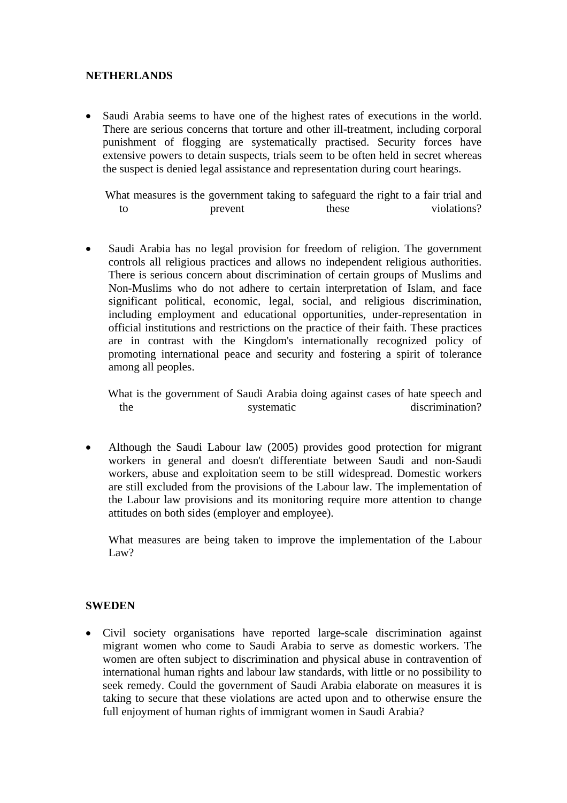#### **NETHERLANDS**

• Saudi Arabia seems to have one of the highest rates of executions in the world. There are serious concerns that torture and other ill-treatment, including corporal punishment of flogging are systematically practised. Security forces have extensive powers to detain suspects, trials seem to be often held in secret whereas the suspect is denied legal assistance and representation during court hearings.

 What measures is the government taking to safeguard the right to a fair trial and to prevent these violations?

• Saudi Arabia has no legal provision for freedom of religion. The government controls all religious practices and allows no independent religious authorities. There is serious concern about discrimination of certain groups of Muslims and Non-Muslims who do not adhere to certain interpretation of Islam, and face significant political, economic, legal, social, and religious discrimination, including employment and educational opportunities, under-representation in official institutions and restrictions on the practice of their faith. These practices are in contrast with the Kingdom's internationally recognized policy of promoting international peace and security and fostering a spirit of tolerance among all peoples.

 What is the government of Saudi Arabia doing against cases of hate speech and the systematic discrimination?

• Although the Saudi Labour law (2005) provides good protection for migrant workers in general and doesn't differentiate between Saudi and non-Saudi workers, abuse and exploitation seem to be still widespread. Domestic workers are still excluded from the provisions of the Labour law. The implementation of the Labour law provisions and its monitoring require more attention to change attitudes on both sides (employer and employee).

What measures are being taken to improve the implementation of the Labour Law?

#### **SWEDEN**

• Civil society organisations have reported large-scale discrimination against migrant women who come to Saudi Arabia to serve as domestic workers. The women are often subject to discrimination and physical abuse in contravention of international human rights and labour law standards, with little or no possibility to seek remedy. Could the government of Saudi Arabia elaborate on measures it is taking to secure that these violations are acted upon and to otherwise ensure the full enjoyment of human rights of immigrant women in Saudi Arabia?